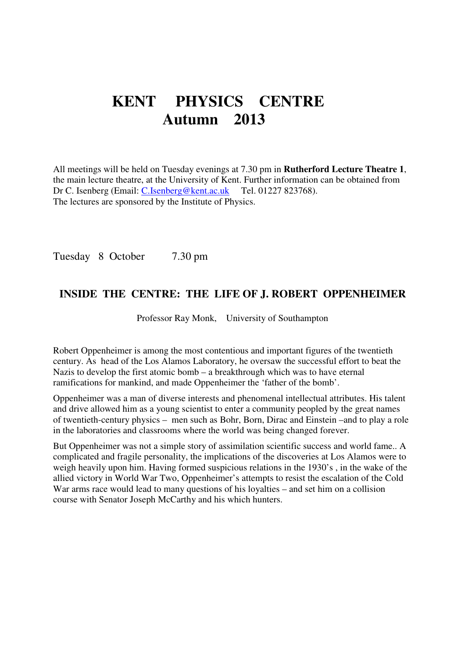# **KENT PHYSICS CENTRE Autumn 2013**

All meetings will be held on Tuesday evenings at 7.30 pm in **Rutherford Lecture Theatre 1**, the main lecture theatre, at the University of Kent. Further information can be obtained from Dr C. Isenberg (Email: C.Isenberg@kent.ac.uk Tel. 01227 823768). The lectures are sponsored by the Institute of Physics.

Tuesday 8 October 7.30 pm

#### **INSIDE THE CENTRE: THE LIFE OF J. ROBERT OPPENHEIMER**

Professor Ray Monk, University of Southampton

Robert Oppenheimer is among the most contentious and important figures of the twentieth century. As head of the Los Alamos Laboratory, he oversaw the successful effort to beat the Nazis to develop the first atomic bomb – a breakthrough which was to have eternal ramifications for mankind, and made Oppenheimer the 'father of the bomb'.

Oppenheimer was a man of diverse interests and phenomenal intellectual attributes. His talent and drive allowed him as a young scientist to enter a community peopled by the great names of twentieth-century physics – men such as Bohr, Born, Dirac and Einstein –and to play a role in the laboratories and classrooms where the world was being changed forever.

But Oppenheimer was not a simple story of assimilation scientific success and world fame.. A complicated and fragile personality, the implications of the discoveries at Los Alamos were to weigh heavily upon him. Having formed suspicious relations in the 1930's , in the wake of the allied victory in World War Two, Oppenheimer's attempts to resist the escalation of the Cold War arms race would lead to many questions of his loyalties – and set him on a collision course with Senator Joseph McCarthy and his which hunters.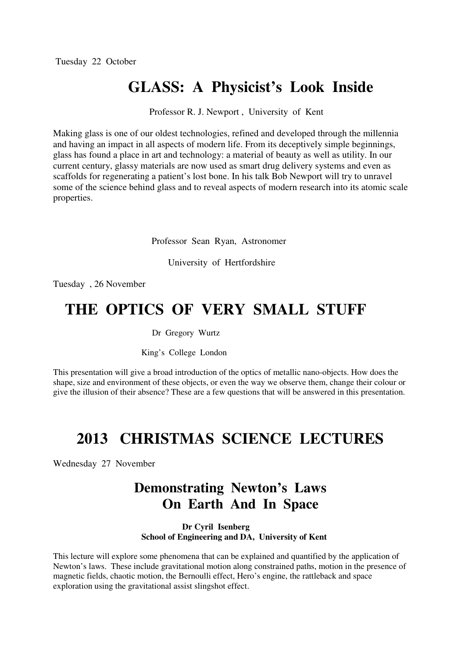## **GLASS: A Physicist's Look Inside**

Professor R. J. Newport , University of Kent

Making glass is one of our oldest technologies, refined and developed through the millennia and having an impact in all aspects of modern life. From its deceptively simple beginnings, glass has found a place in art and technology: a material of beauty as well as utility. In our current century, glassy materials are now used as smart drug delivery systems and even as scaffolds for regenerating a patient's lost bone. In his talk Bob Newport will try to unravel some of the science behind glass and to reveal aspects of modern research into its atomic scale properties.

Professor Sean Ryan, Astronomer

University of Hertfordshire

Tuesday , 26 November

#### **THE OPTICS OF VERY SMALL STUFF**

#### Dr Gregory Wurtz

King's College London

This presentation will give a broad introduction of the optics of metallic nano-objects. How does the shape, size and environment of these objects, or even the way we observe them, change their colour or give the illusion of their absence? These are a few questions that will be answered in this presentation.

## **2013 CHRISTMAS SCIENCE LECTURES**

Wednesday 27 November

#### **Demonstrating Newton's Laws On Earth And In Space**

 **Dr Cyril Isenberg School of Engineering and DA, University of Kent** 

This lecture will explore some phenomena that can be explained and quantified by the application of Newton's laws. These include gravitational motion along constrained paths, motion in the presence of magnetic fields, chaotic motion, the Bernoulli effect, Hero's engine, the rattleback and space exploration using the gravitational assist slingshot effect.